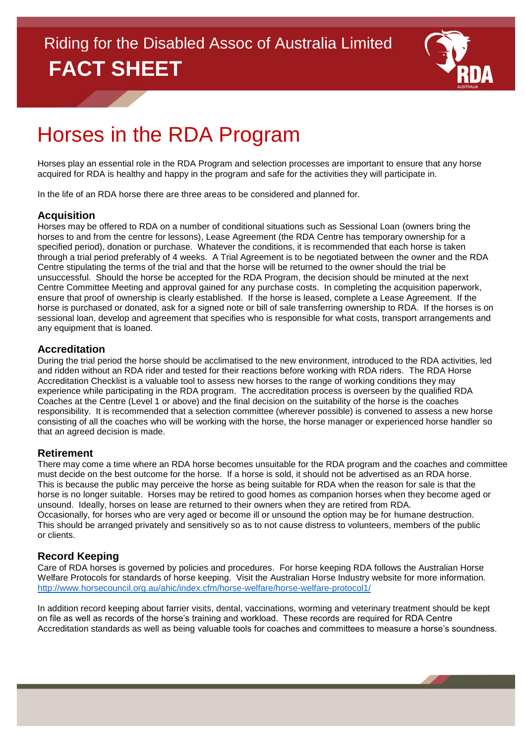

# Horses in the RDA Program

Horses play an essential role in the RDA Program and selection processes are important to ensure that any horse acquired for RDA is healthy and happy in the program and safe for the activities they will participate in.

In the life of an RDA horse there are three areas to be considered and planned for.

### **Acquisition**

Horses may be offered to RDA on a number of conditional situations such as Sessional Loan (owners bring the horses to and from the centre for lessons), Lease Agreement (the RDA Centre has temporary ownership for a specified period), donation or purchase. Whatever the conditions, it is recommended that each horse is taken through a trial period preferably of 4 weeks. A Trial Agreement is to be negotiated between the owner and the RDA Centre stipulating the terms of the trial and that the horse will be returned to the owner should the trial be unsuccessful. Should the horse be accepted for the RDA Program, the decision should be minuted at the next Centre Committee Meeting and approval gained for any purchase costs. In completing the acquisition paperwork, ensure that proof of ownership is clearly established. If the horse is leased, complete a Lease Agreement. If the horse is purchased or donated, ask for a signed note or bill of sale transferring ownership to RDA. If the horses is on sessional loan, develop and agreement that specifies who is responsible for what costs, transport arrangements and any equipment that is loaned.

### **Accreditation**

During the trial period the horse should be acclimatised to the new environment, introduced to the RDA activities, led and ridden without an RDA rider and tested for their reactions before working with RDA riders. The RDA Horse Accreditation Checklist is a valuable tool to assess new horses to the range of working conditions they may experience while participating in the RDA program. The accreditation process is overseen by the qualified RDA Coaches at the Centre (Level 1 or above) and the final decision on the suitability of the horse is the coaches responsibility. It is recommended that a selection committee (wherever possible) is convened to assess a new horse consisting of all the coaches who will be working with the horse, the horse manager or experienced horse handler so that an agreed decision is made.

### **Retirement**

There may come a time where an RDA horse becomes unsuitable for the RDA program and the coaches and committee must decide on the best outcome for the horse. If a horse is sold, it should not be advertised as an RDA horse. This is because the public may perceive the horse as being suitable for RDA when the reason for sale is that the horse is no longer suitable. Horses may be retired to good homes as companion horses when they become aged or unsound. Ideally, horses on lease are returned to their owners when they are retired from RDA. Occasionally, for horses who are very aged or become ill or unsound the option may be for humane destruction. This should be arranged privately and sensitively so as to not cause distress to volunteers, members of the public or clients.

### **Record Keeping**

Care of RDA horses is governed by policies and procedures. For horse keeping RDA follows the Australian Horse Welfare Protocols for standards of horse keeping. Visit the Australian Horse Industry website for more information. <http://www.horsecouncil.org.au/ahic/index.cfm/horse-welfare/horse-welfare-protocol1/>

In addition record keeping about farrier visits, dental, vaccinations, worming and veterinary treatment should be kept on file as well as records of the horse's training and workload. These records are required for RDA Centre Accreditation standards as well as being valuable tools for coaches and committees to measure a horse's soundness.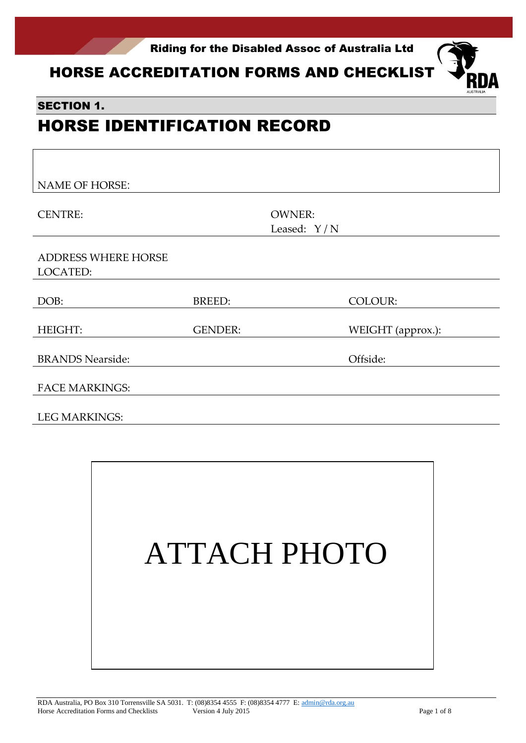

HORSE ACCREDITATION FORMS AND CHECKLIST  $\bigotimes_{R\cap\Delta}$ 

### SECTION 1.

# HORSE IDENTIFICATION RECORD

| <b>NAME OF HORSE:</b>                  |                |                                |                   |
|----------------------------------------|----------------|--------------------------------|-------------------|
| <b>CENTRE:</b>                         |                | <b>OWNER:</b><br>Leased: $Y/N$ |                   |
| <b>ADDRESS WHERE HORSE</b><br>LOCATED: |                |                                |                   |
| DOB:                                   | BREED:         |                                | <b>COLOUR:</b>    |
| <b>HEIGHT:</b>                         | <b>GENDER:</b> |                                | WEIGHT (approx.): |
| <b>BRANDS Nearside:</b>                |                |                                | Offside:          |
| <b>FACE MARKINGS:</b>                  |                |                                |                   |
| <b>LEG MARKINGS:</b>                   |                |                                |                   |

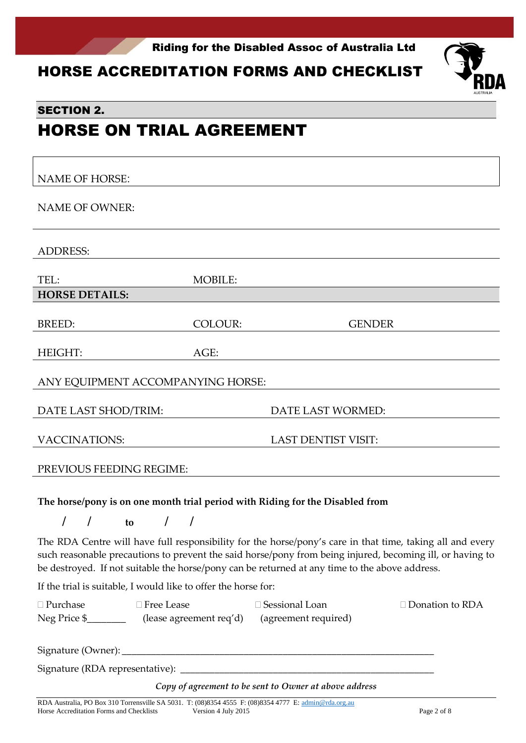

## HORSE ACCREDITATION FORMS AND CHECKLIST



### SECTION 2.

# HORSE ON TRIAL AGREEMENT

| <b>NAME OF HORSE:</b>                                                                                                        |                |                            |
|------------------------------------------------------------------------------------------------------------------------------|----------------|----------------------------|
| <b>NAME OF OWNER:</b>                                                                                                        |                |                            |
| <b>ADDRESS:</b>                                                                                                              |                |                            |
| TEL:                                                                                                                         | <b>MOBILE:</b> |                            |
| <b>HORSE DETAILS:</b>                                                                                                        |                |                            |
| <b>BREED:</b>                                                                                                                | <b>COLOUR:</b> | <b>GENDER</b>              |
| HEIGHT:                                                                                                                      | AGE:           |                            |
| ANY EQUIPMENT ACCOMPANYING HORSE:                                                                                            |                |                            |
| DATE LAST SHOD/TRIM:                                                                                                         |                | DATE LAST WORMED:          |
| <b>VACCINATIONS:</b>                                                                                                         |                | <b>LAST DENTIST VISIT:</b> |
| PREVIOUS FEEDING REGIME:                                                                                                     |                |                            |
| The horse/pony is on one month trial period with Riding for the Disabled from<br>I<br>$\prime$<br>$\prime$<br>$\prime$<br>to |                |                            |

The RDA Centre will have full responsibility for the horse/pony's care in that time, taking all and every such reasonable precautions to prevent the said horse/pony from being injured, becoming ill, or having to be destroyed. If not suitable the horse/pony can be returned at any time to the above address.

If the trial is suitable, I would like to offer the horse for:

| $\Box$ Purchase | $\Box$ Free Lease                            | $\Box$ Sessional Loan | $\Box$ Donation to RDA |
|-----------------|----------------------------------------------|-----------------------|------------------------|
| Neg Price \$    | (lease agreement req'd) (agreement required) |                       |                        |

Signature (Owner):

Signature (RDA representative): \_

*Copy of agreement to be sent to Owner at above address*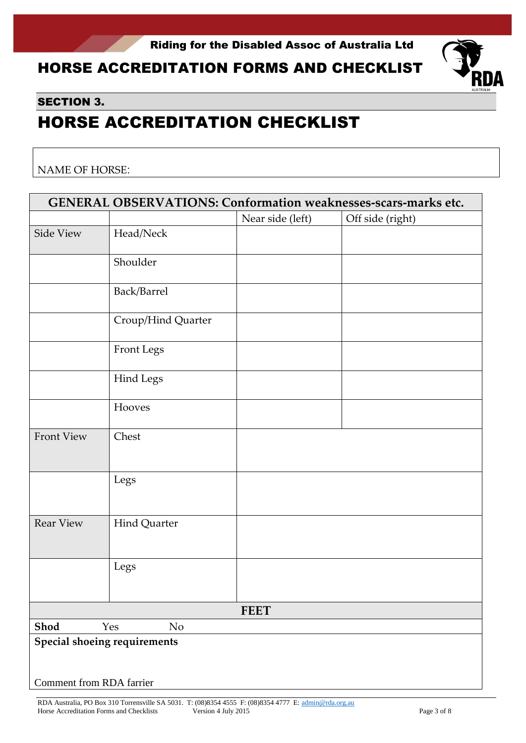# HORSE ACCREDITATION FORMS AND CHECKLIST



### SECTION 3.

# HORSE ACCREDITATION CHECKLIST

NAME OF HORSE:

| GENERAL OBSERVATIONS: Conformation weaknesses-scars-marks etc. |                              |                  |                  |  |
|----------------------------------------------------------------|------------------------------|------------------|------------------|--|
|                                                                |                              | Near side (left) | Off side (right) |  |
| Side View                                                      | Head/Neck                    |                  |                  |  |
|                                                                | Shoulder                     |                  |                  |  |
|                                                                | Back/Barrel                  |                  |                  |  |
|                                                                | Croup/Hind Quarter           |                  |                  |  |
|                                                                | Front Legs                   |                  |                  |  |
|                                                                | <b>Hind Legs</b>             |                  |                  |  |
|                                                                | Hooves                       |                  |                  |  |
| <b>Front View</b>                                              | Chest                        |                  |                  |  |
|                                                                | Legs                         |                  |                  |  |
| <b>Rear View</b>                                               | Hind Quarter                 |                  |                  |  |
|                                                                | Legs                         |                  |                  |  |
|                                                                |                              | <b>FEET</b>      |                  |  |
| Shod                                                           | Yes<br>No                    |                  |                  |  |
| Comment from RDA farrier                                       | Special shoeing requirements |                  |                  |  |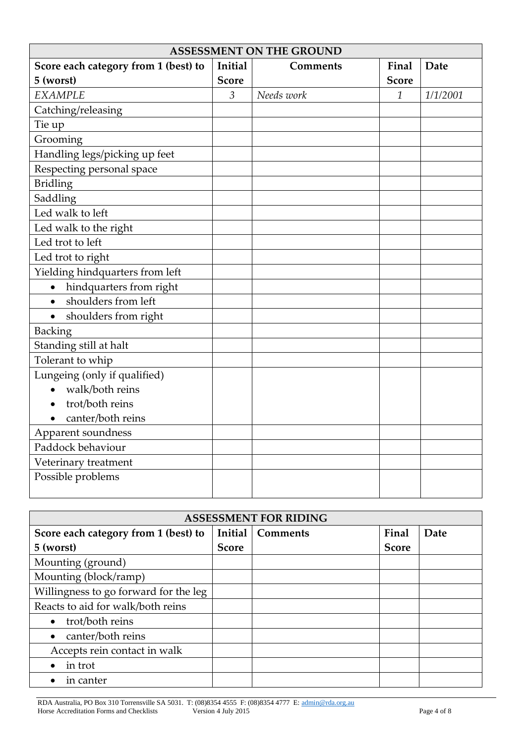| <b>ASSESSMENT ON THE GROUND</b>      |                |                 |              |          |
|--------------------------------------|----------------|-----------------|--------------|----------|
| Score each category from 1 (best) to | Initial        | <b>Comments</b> | Final        | Date     |
| 5 (worst)                            | <b>Score</b>   |                 | <b>Score</b> |          |
| <b>EXAMPLE</b>                       | $\overline{3}$ | Needs work      | $\mathbf{1}$ | 1/1/2001 |
| Catching/releasing                   |                |                 |              |          |
| Tie up                               |                |                 |              |          |
| Grooming                             |                |                 |              |          |
| Handling legs/picking up feet        |                |                 |              |          |
| Respecting personal space            |                |                 |              |          |
| <b>Bridling</b>                      |                |                 |              |          |
| Saddling                             |                |                 |              |          |
| Led walk to left                     |                |                 |              |          |
| Led walk to the right                |                |                 |              |          |
| Led trot to left                     |                |                 |              |          |
| Led trot to right                    |                |                 |              |          |
| Yielding hindquarters from left      |                |                 |              |          |
| hindquarters from right<br>$\bullet$ |                |                 |              |          |
| shoulders from left<br>$\bullet$     |                |                 |              |          |
| shoulders from right                 |                |                 |              |          |
| <b>Backing</b>                       |                |                 |              |          |
| Standing still at halt               |                |                 |              |          |
| Tolerant to whip                     |                |                 |              |          |
| Lungeing (only if qualified)         |                |                 |              |          |
| walk/both reins<br>$\bullet$         |                |                 |              |          |
| trot/both reins<br>$\bullet$         |                |                 |              |          |
| canter/both reins                    |                |                 |              |          |
| Apparent soundness                   |                |                 |              |          |
| Paddock behaviour                    |                |                 |              |          |
| Veterinary treatment                 |                |                 |              |          |
| Possible problems                    |                |                 |              |          |
|                                      |                |                 |              |          |

| <b>ASSESSMENT FOR RIDING</b>          |              |                 |              |      |
|---------------------------------------|--------------|-----------------|--------------|------|
| Score each category from 1 (best) to  | Initial      | <b>Comments</b> | Final        | Date |
| 5 (worst)                             | <b>Score</b> |                 | <b>Score</b> |      |
| Mounting (ground)                     |              |                 |              |      |
| Mounting (block/ramp)                 |              |                 |              |      |
| Willingness to go forward for the leg |              |                 |              |      |
| Reacts to aid for walk/both reins     |              |                 |              |      |
| trot/both reins                       |              |                 |              |      |
| canter/both reins                     |              |                 |              |      |
| Accepts rein contact in walk          |              |                 |              |      |
| in trot                               |              |                 |              |      |
| in canter                             |              |                 |              |      |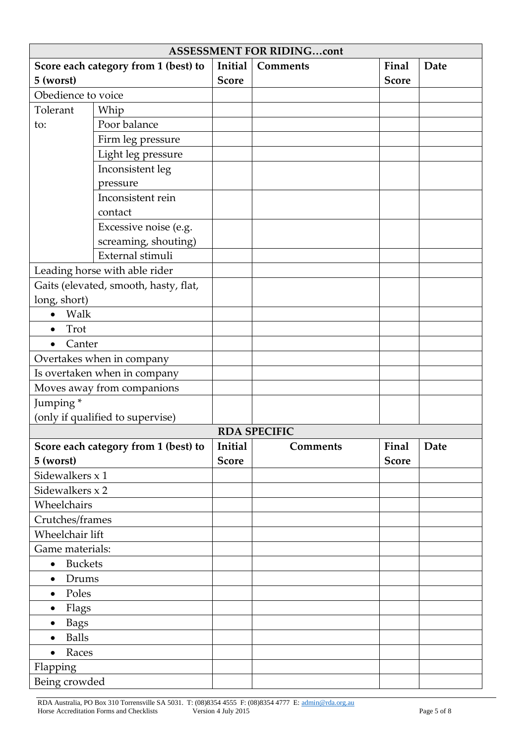| <b>ASSESSMENT FOR RIDINGcont</b>                                     |                                       |              |                     |              |      |
|----------------------------------------------------------------------|---------------------------------------|--------------|---------------------|--------------|------|
|                                                                      | Score each category from 1 (best) to  | Initial      | Comments            | Final        | Date |
| 5 (worst)                                                            |                                       | <b>Score</b> |                     | <b>Score</b> |      |
| Obedience to voice                                                   |                                       |              |                     |              |      |
| Tolerant                                                             | Whip                                  |              |                     |              |      |
| to:                                                                  | Poor balance                          |              |                     |              |      |
|                                                                      | Firm leg pressure                     |              |                     |              |      |
|                                                                      | Light leg pressure                    |              |                     |              |      |
|                                                                      | Inconsistent leg                      |              |                     |              |      |
|                                                                      | pressure                              |              |                     |              |      |
|                                                                      | Inconsistent rein                     |              |                     |              |      |
|                                                                      | contact                               |              |                     |              |      |
|                                                                      | Excessive noise (e.g.                 |              |                     |              |      |
|                                                                      | screaming, shouting)                  |              |                     |              |      |
|                                                                      | External stimuli                      |              |                     |              |      |
|                                                                      | Leading horse with able rider         |              |                     |              |      |
|                                                                      | Gaits (elevated, smooth, hasty, flat, |              |                     |              |      |
| long, short)                                                         |                                       |              |                     |              |      |
| Walk<br>$\bullet$                                                    |                                       |              |                     |              |      |
| Trot<br>$\bullet$                                                    |                                       |              |                     |              |      |
| Canter                                                               |                                       |              |                     |              |      |
|                                                                      | Overtakes when in company             |              |                     |              |      |
|                                                                      | Is overtaken when in company          |              |                     |              |      |
|                                                                      | Moves away from companions            |              |                     |              |      |
| Jumping*                                                             |                                       |              |                     |              |      |
|                                                                      | (only if qualified to supervise)      |              |                     |              |      |
|                                                                      |                                       |              | <b>RDA SPECIFIC</b> |              |      |
| Initial<br>Score each category from 1 (best) to<br>Final<br>Comments |                                       |              | Date                |              |      |
| 5 (worst)                                                            |                                       | <b>Score</b> |                     | <b>Score</b> |      |
| Sidewalkers x 1                                                      |                                       |              |                     |              |      |
| Sidewalkers x 2                                                      |                                       |              |                     |              |      |
| Wheelchairs                                                          |                                       |              |                     |              |      |
| Crutches/frames                                                      |                                       |              |                     |              |      |
| Wheelchair lift                                                      |                                       |              |                     |              |      |
| Game materials:                                                      |                                       |              |                     |              |      |
| <b>Buckets</b><br>$\bullet$                                          |                                       |              |                     |              |      |
| Drums<br>$\bullet$                                                   |                                       |              |                     |              |      |
| Poles<br>$\bullet$                                                   |                                       |              |                     |              |      |
| Flags<br>$\bullet$                                                   |                                       |              |                     |              |      |
| <b>Bags</b><br>$\bullet$                                             |                                       |              |                     |              |      |
| <b>Balls</b><br>$\bullet$                                            |                                       |              |                     |              |      |
| Races<br>$\bullet$                                                   |                                       |              |                     |              |      |
| Flapping                                                             |                                       |              |                     |              |      |
|                                                                      |                                       |              |                     |              |      |
| Being crowded                                                        |                                       |              |                     |              |      |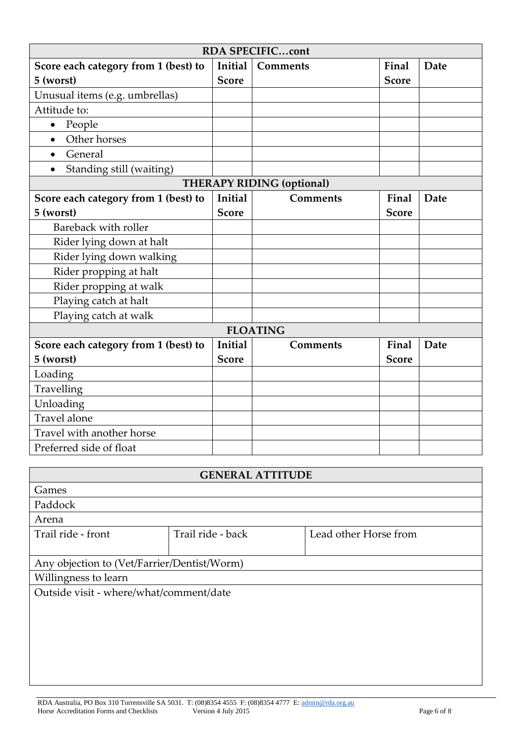| <b>RDA SPECIFICcont</b>               |              |                                  |              |      |
|---------------------------------------|--------------|----------------------------------|--------------|------|
| Score each category from 1 (best) to  | Initial      | <b>Comments</b>                  | Final        | Date |
| 5 (worst)                             | <b>Score</b> |                                  | <b>Score</b> |      |
| Unusual items (e.g. umbrellas)        |              |                                  |              |      |
| Attitude to:                          |              |                                  |              |      |
| People<br>$\bullet$                   |              |                                  |              |      |
| Other horses<br>$\bullet$             |              |                                  |              |      |
| General<br>$\bullet$                  |              |                                  |              |      |
| Standing still (waiting)<br>$\bullet$ |              |                                  |              |      |
|                                       |              | <b>THERAPY RIDING (optional)</b> |              |      |
| Score each category from 1 (best) to  | Initial      | <b>Comments</b>                  | Final        | Date |
| 5 (worst)                             | <b>Score</b> |                                  | <b>Score</b> |      |
| Bareback with roller                  |              |                                  |              |      |
| Rider lying down at halt              |              |                                  |              |      |
| Rider lying down walking              |              |                                  |              |      |
| Rider propping at halt                |              |                                  |              |      |
| Rider propping at walk                |              |                                  |              |      |
| Playing catch at halt                 |              |                                  |              |      |
| Playing catch at walk                 |              |                                  |              |      |
|                                       |              | <b>FLOATING</b>                  |              |      |
| Score each category from 1 (best) to  | Initial      | Comments                         | Final        | Date |
| 5 (worst)                             | <b>Score</b> |                                  | <b>Score</b> |      |
| Loading                               |              |                                  |              |      |
| Travelling                            |              |                                  |              |      |
| Unloading                             |              |                                  |              |      |
| Travel alone                          |              |                                  |              |      |
| Travel with another horse             |              |                                  |              |      |
| Preferred side of float               |              |                                  |              |      |

| <b>GENERAL ATTITUDE</b>                     |                   |                       |  |  |
|---------------------------------------------|-------------------|-----------------------|--|--|
| Games                                       |                   |                       |  |  |
| Paddock                                     |                   |                       |  |  |
| Arena                                       |                   |                       |  |  |
| Trail ride - front                          | Trail ride - back | Lead other Horse from |  |  |
|                                             |                   |                       |  |  |
| Any objection to (Vet/Farrier/Dentist/Worm) |                   |                       |  |  |
| Willingness to learn                        |                   |                       |  |  |
| Outside visit - where/what/comment/date     |                   |                       |  |  |
|                                             |                   |                       |  |  |
|                                             |                   |                       |  |  |
|                                             |                   |                       |  |  |
|                                             |                   |                       |  |  |
|                                             |                   |                       |  |  |
|                                             |                   |                       |  |  |